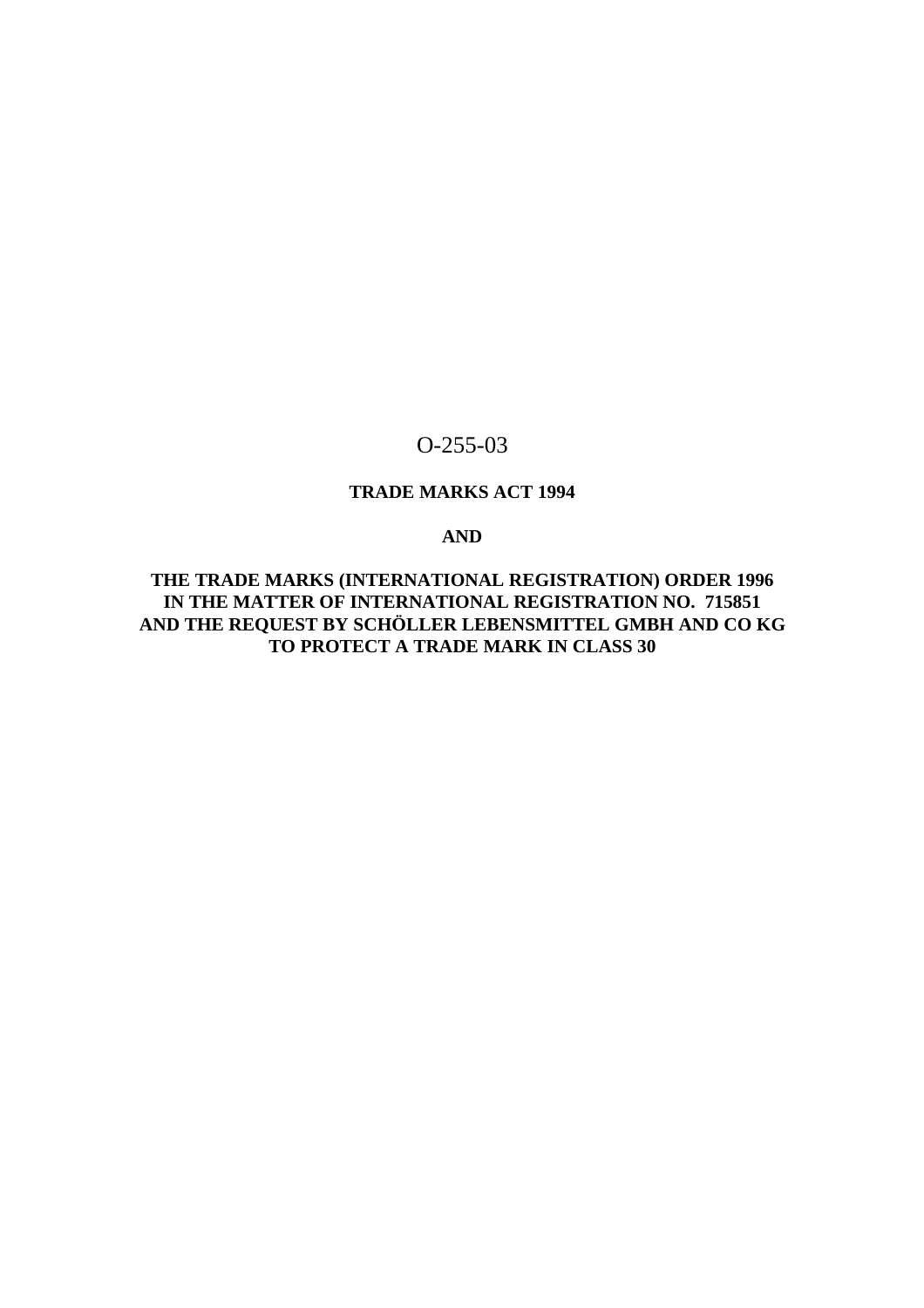# O-255-03

# **TRADE MARKS ACT 1994**

# **AND**

**THE TRADE MARKS (INTERNATIONAL REGISTRATION) ORDER 1996 IN THE MATTER OF INTERNATIONAL REGISTRATION NO. 715851 AND THE REQUEST BY SCHÖLLER LEBENSMITTEL GMBH AND CO KG TO PROTECT A TRADE MARK IN CLASS 30**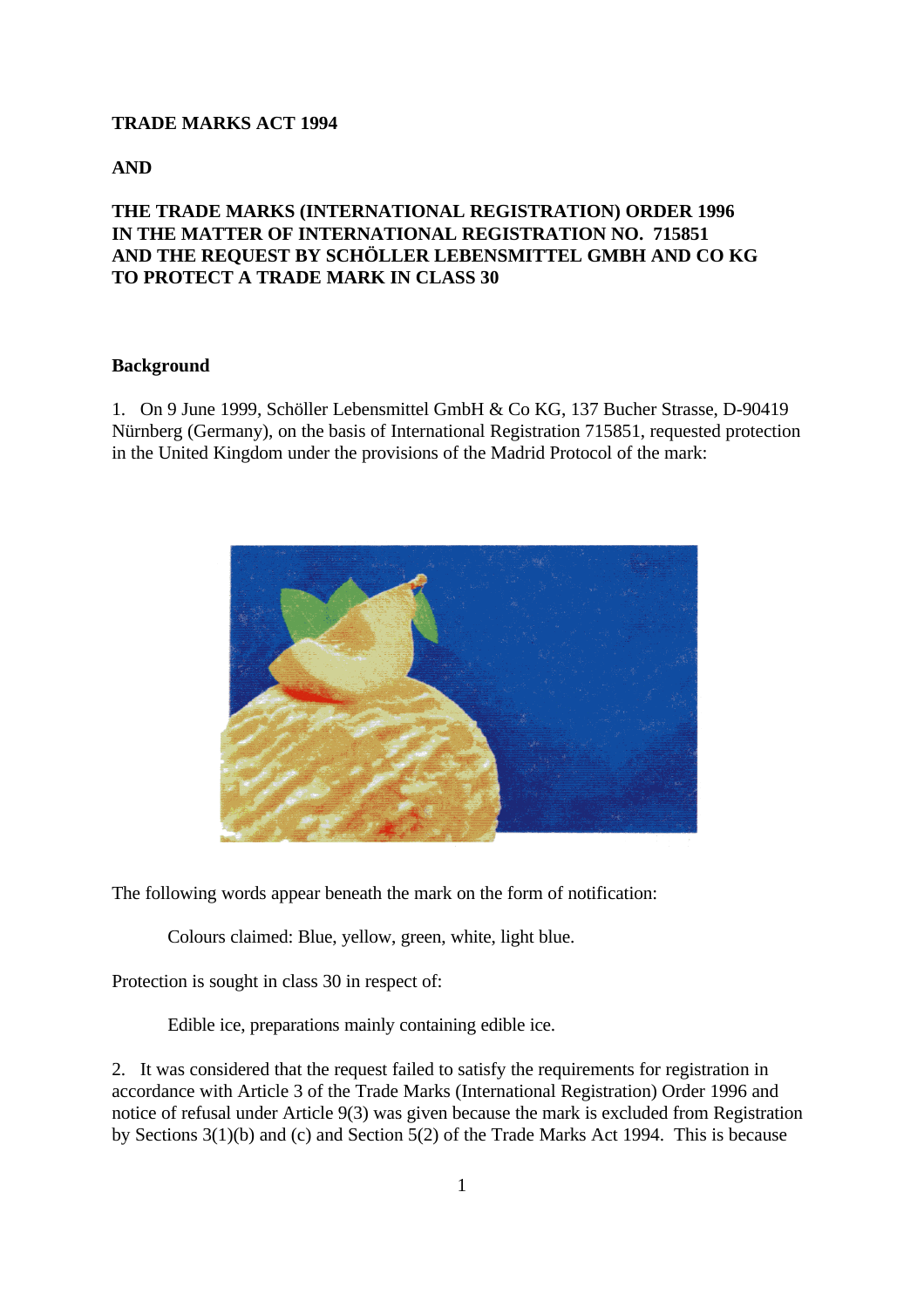### **TRADE MARKS ACT 1994**

**AND**

# **THE TRADE MARKS (INTERNATIONAL REGISTRATION) ORDER 1996 IN THE MATTER OF INTERNATIONAL REGISTRATION NO. 715851 AND THE REQUEST BY SCHÖLLER LEBENSMITTEL GMBH AND CO KG TO PROTECT A TRADE MARK IN CLASS 30**

## **Background**

1. On 9 June 1999, Schöller Lebensmittel GmbH & Co KG, 137 Bucher Strasse, D-90419 Nürnberg (Germany), on the basis of International Registration 715851, requested protection in the United Kingdom under the provisions of the Madrid Protocol of the mark:



The following words appear beneath the mark on the form of notification:

Colours claimed: Blue, yellow, green, white, light blue.

Protection is sought in class 30 in respect of:

Edible ice, preparations mainly containing edible ice.

2. It was considered that the request failed to satisfy the requirements for registration in accordance with Article 3 of the Trade Marks (International Registration) Order 1996 and notice of refusal under Article 9(3) was given because the mark is excluded from Registration by Sections 3(1)(b) and (c) and Section 5(2) of the Trade Marks Act 1994. This is because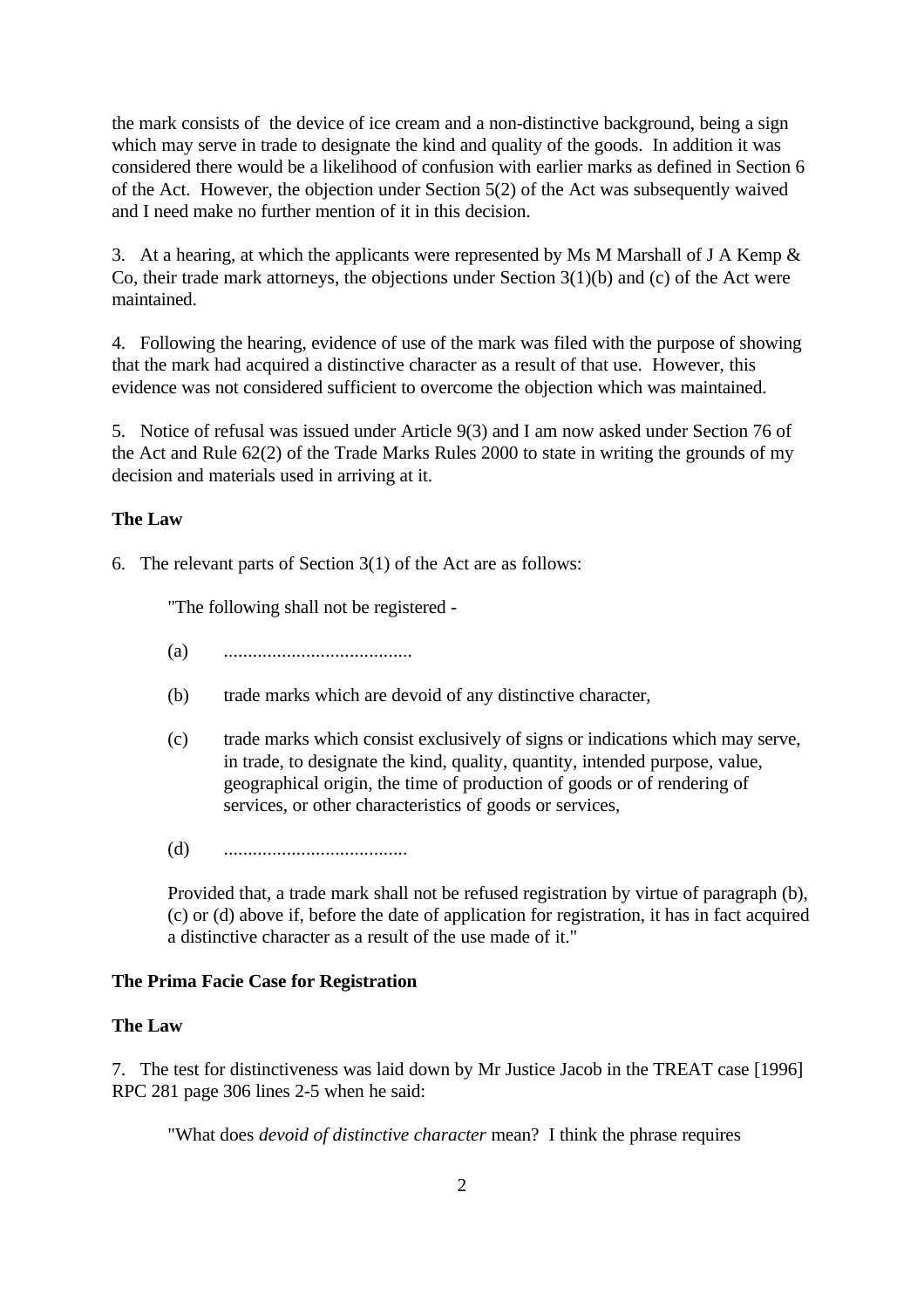the mark consists of the device of ice cream and a non-distinctive background, being a sign which may serve in trade to designate the kind and quality of the goods. In addition it was considered there would be a likelihood of confusion with earlier marks as defined in Section 6 of the Act. However, the objection under Section 5(2) of the Act was subsequently waived and I need make no further mention of it in this decision.

3. At a hearing, at which the applicants were represented by Ms M Marshall of J A Kemp & Co, their trade mark attorneys, the objections under Section 3(1)(b) and (c) of the Act were maintained.

4. Following the hearing, evidence of use of the mark was filed with the purpose of showing that the mark had acquired a distinctive character as a result of that use. However, this evidence was not considered sufficient to overcome the objection which was maintained.

5. Notice of refusal was issued under Article 9(3) and I am now asked under Section 76 of the Act and Rule 62(2) of the Trade Marks Rules 2000 to state in writing the grounds of my decision and materials used in arriving at it.

## **The Law**

6. The relevant parts of Section 3(1) of the Act are as follows:

"The following shall not be registered -

- (a) .......................................
- (b) trade marks which are devoid of any distinctive character,
- (c) trade marks which consist exclusively of signs or indications which may serve, in trade, to designate the kind, quality, quantity, intended purpose, value, geographical origin, the time of production of goods or of rendering of services, or other characteristics of goods or services,
- (d) ......................................

Provided that, a trade mark shall not be refused registration by virtue of paragraph (b), (c) or (d) above if, before the date of application for registration, it has in fact acquired a distinctive character as a result of the use made of it."

#### **The Prima Facie Case for Registration**

#### **The Law**

7. The test for distinctiveness was laid down by Mr Justice Jacob in the TREAT case [1996] RPC 281 page 306 lines 2-5 when he said:

"What does *devoid of distinctive character* mean? I think the phrase requires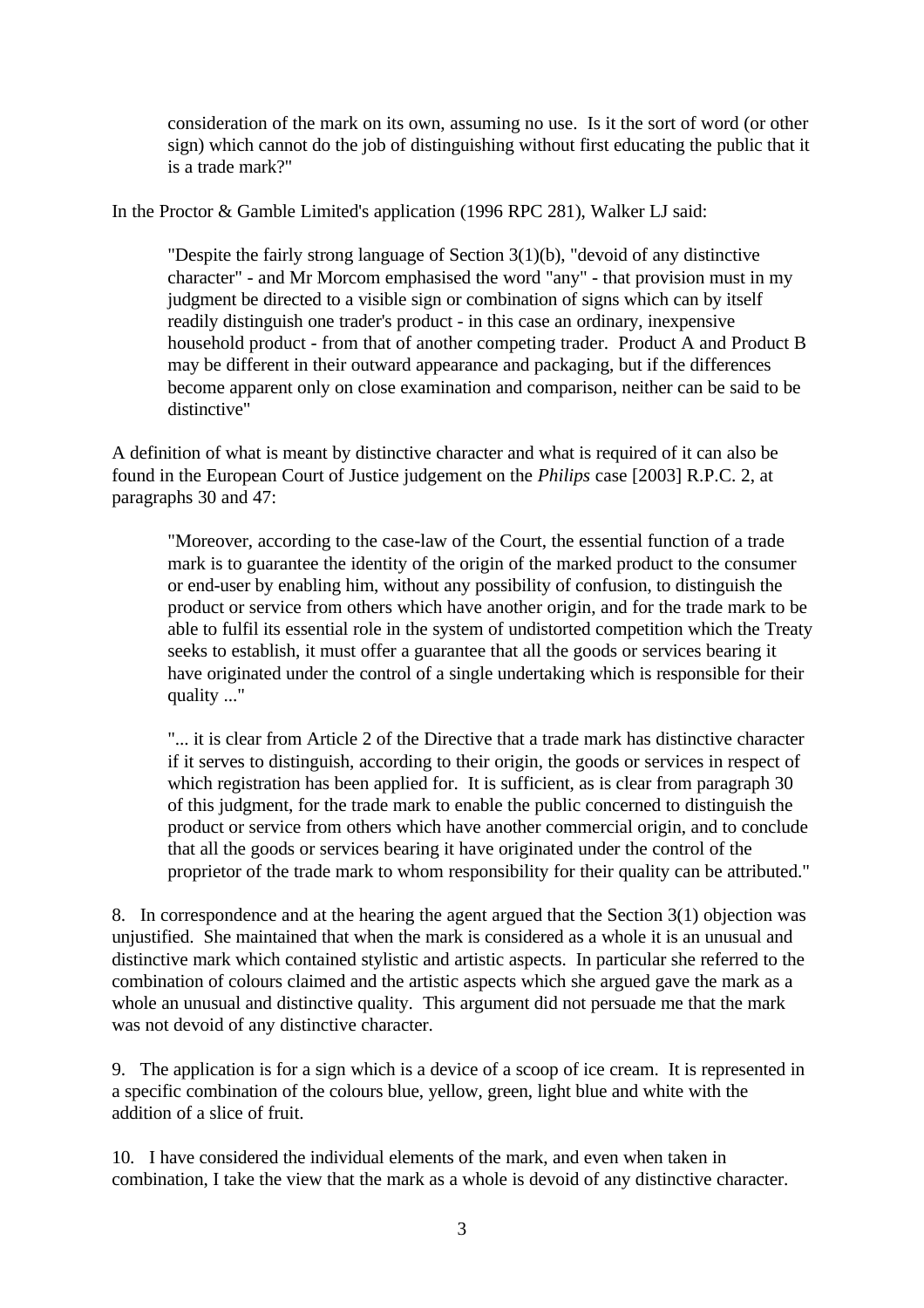consideration of the mark on its own, assuming no use. Is it the sort of word (or other sign) which cannot do the job of distinguishing without first educating the public that it is a trade mark?"

In the Proctor & Gamble Limited's application (1996 RPC 281), Walker LJ said:

"Despite the fairly strong language of Section 3(1)(b), "devoid of any distinctive character" - and Mr Morcom emphasised the word "any" - that provision must in my judgment be directed to a visible sign or combination of signs which can by itself readily distinguish one trader's product - in this case an ordinary, inexpensive household product - from that of another competing trader. Product A and Product B may be different in their outward appearance and packaging, but if the differences become apparent only on close examination and comparison, neither can be said to be distinctive"

A definition of what is meant by distinctive character and what is required of it can also be found in the European Court of Justice judgement on the *Philips* case [2003] R.P.C. 2, at paragraphs 30 and 47:

"Moreover, according to the case-law of the Court, the essential function of a trade mark is to guarantee the identity of the origin of the marked product to the consumer or end-user by enabling him, without any possibility of confusion, to distinguish the product or service from others which have another origin, and for the trade mark to be able to fulfil its essential role in the system of undistorted competition which the Treaty seeks to establish, it must offer a guarantee that all the goods or services bearing it have originated under the control of a single undertaking which is responsible for their quality ..."

"... it is clear from Article 2 of the Directive that a trade mark has distinctive character if it serves to distinguish, according to their origin, the goods or services in respect of which registration has been applied for. It is sufficient, as is clear from paragraph 30 of this judgment, for the trade mark to enable the public concerned to distinguish the product or service from others which have another commercial origin, and to conclude that all the goods or services bearing it have originated under the control of the proprietor of the trade mark to whom responsibility for their quality can be attributed."

8. In correspondence and at the hearing the agent argued that the Section 3(1) objection was unjustified. She maintained that when the mark is considered as a whole it is an unusual and distinctive mark which contained stylistic and artistic aspects. In particular she referred to the combination of colours claimed and the artistic aspects which she argued gave the mark as a whole an unusual and distinctive quality. This argument did not persuade me that the mark was not devoid of any distinctive character.

9. The application is for a sign which is a device of a scoop of ice cream. It is represented in a specific combination of the colours blue, yellow, green, light blue and white with the addition of a slice of fruit.

10. I have considered the individual elements of the mark, and even when taken in combination, I take the view that the mark as a whole is devoid of any distinctive character.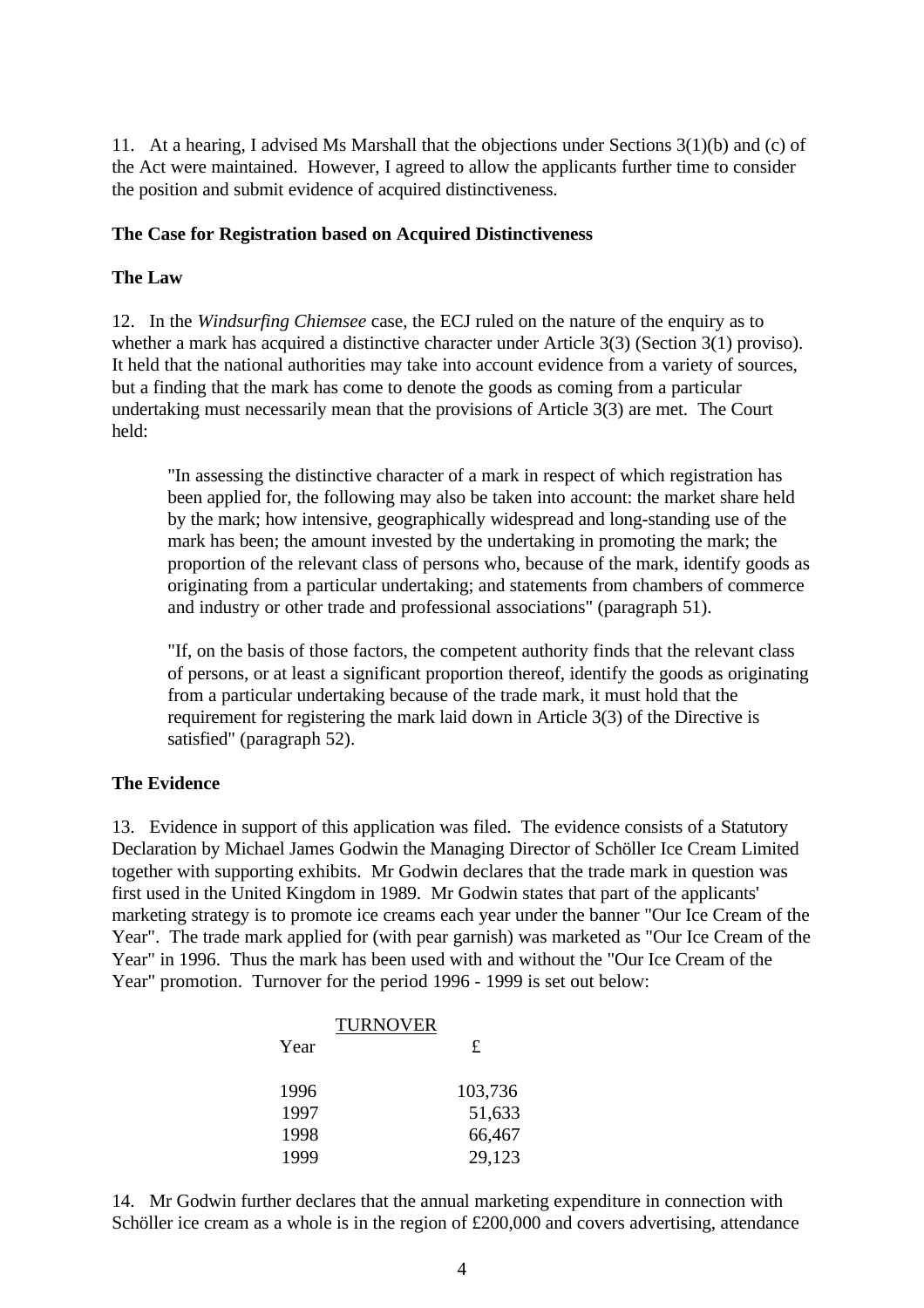11. At a hearing, I advised Ms Marshall that the objections under Sections 3(1)(b) and (c) of the Act were maintained. However, I agreed to allow the applicants further time to consider the position and submit evidence of acquired distinctiveness.

## **The Case for Registration based on Acquired Distinctiveness**

### **The Law**

12. In the *Windsurfing Chiemsee* case, the ECJ ruled on the nature of the enquiry as to whether a mark has acquired a distinctive character under Article 3(3) (Section 3(1) proviso). It held that the national authorities may take into account evidence from a variety of sources, but a finding that the mark has come to denote the goods as coming from a particular undertaking must necessarily mean that the provisions of Article 3(3) are met. The Court held:

"In assessing the distinctive character of a mark in respect of which registration has been applied for, the following may also be taken into account: the market share held by the mark; how intensive, geographically widespread and long-standing use of the mark has been; the amount invested by the undertaking in promoting the mark; the proportion of the relevant class of persons who, because of the mark, identify goods as originating from a particular undertaking; and statements from chambers of commerce and industry or other trade and professional associations" (paragraph 51).

"If, on the basis of those factors, the competent authority finds that the relevant class of persons, or at least a significant proportion thereof, identify the goods as originating from a particular undertaking because of the trade mark, it must hold that the requirement for registering the mark laid down in Article 3(3) of the Directive is satisfied" (paragraph 52).

## **The Evidence**

13. Evidence in support of this application was filed. The evidence consists of a Statutory Declaration by Michael James Godwin the Managing Director of Schöller Ice Cream Limited together with supporting exhibits. Mr Godwin declares that the trade mark in question was first used in the United Kingdom in 1989. Mr Godwin states that part of the applicants' marketing strategy is to promote ice creams each year under the banner "Our Ice Cream of the Year". The trade mark applied for (with pear garnish) was marketed as "Our Ice Cream of the Year" in 1996. Thus the mark has been used with and without the "Our Ice Cream of the Year" promotion. Turnover for the period 1996 - 1999 is set out below:

|      | <b>TURNOVER</b> |
|------|-----------------|
| Year | £               |
| 1996 | 103,736         |
| 1997 | 51,633          |
| 1998 | 66,467          |
| 1999 | 29,123          |

14. Mr Godwin further declares that the annual marketing expenditure in connection with Schöller ice cream as a whole is in the region of £200,000 and covers advertising, attendance